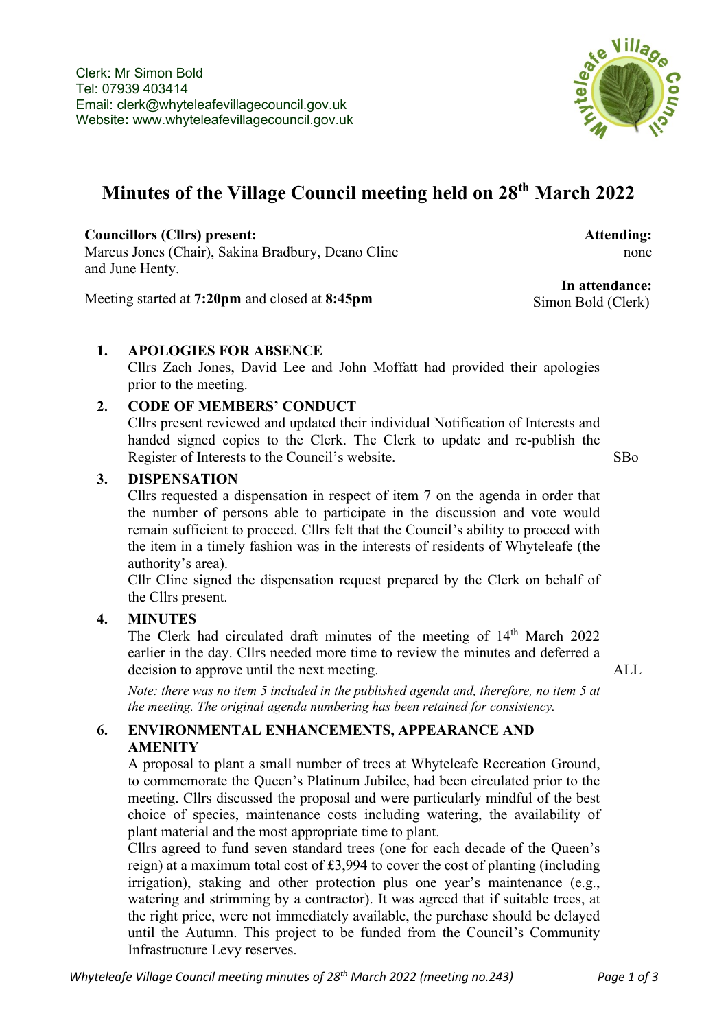

# **Minutes of the Village Council meeting held on 28th March 2022**

**Councillors (Cllrs) present:** Marcus Jones (Chair), Sakina Bradbury, Deano Cline and June Henty.

Meeting started at **7:20pm** and closed at **8:45pm**

none

**Attending:**

**In attendance:** Simon Bold (Clerk)

## **1. APOLOGIES FOR ABSENCE**

Cllrs Zach Jones, David Lee and John Moffatt had provided their apologies prior to the meeting.

## **2. CODE OF MEMBERS' CONDUCT**

Cllrs present reviewed and updated their individual Notification of Interests and handed signed copies to the Clerk. The Clerk to update and re-publish the Register of Interests to the Council's website. SBo

#### **3. DISPENSATION**

Cllrs requested a dispensation in respect of item 7 on the agenda in order that the number of persons able to participate in the discussion and vote would remain sufficient to proceed. Cllrs felt that the Council's ability to proceed with the item in a timely fashion was in the interests of residents of Whyteleafe (the authority's area).

Cllr Cline signed the dispensation request prepared by the Clerk on behalf of the Cllrs present.

## **4. MINUTES**

The Clerk had circulated draft minutes of the meeting of 14<sup>th</sup> March 2022 earlier in the day. Cllrs needed more time to review the minutes and deferred a decision to approve until the next meeting. ALL

*Note: there was no item 5 included in the published agenda and, therefore, no item 5 at the meeting. The original agenda numbering has been retained for consistency.*

#### **6. ENVIRONMENTAL ENHANCEMENTS, APPEARANCE AND AMENITY**

A proposal to plant a small number of trees at Whyteleafe Recreation Ground, to commemorate the Queen's Platinum Jubilee, had been circulated prior to the meeting. Cllrs discussed the proposal and were particularly mindful of the best choice of species, maintenance costs including watering, the availability of plant material and the most appropriate time to plant.

Cllrs agreed to fund seven standard trees (one for each decade of the Queen's reign) at a maximum total cost of £3,994 to cover the cost of planting (including irrigation), staking and other protection plus one year's maintenance (e.g., watering and strimming by a contractor). It was agreed that if suitable trees, at the right price, were not immediately available, the purchase should be delayed until the Autumn. This project to be funded from the Council's Community Infrastructure Levy reserves.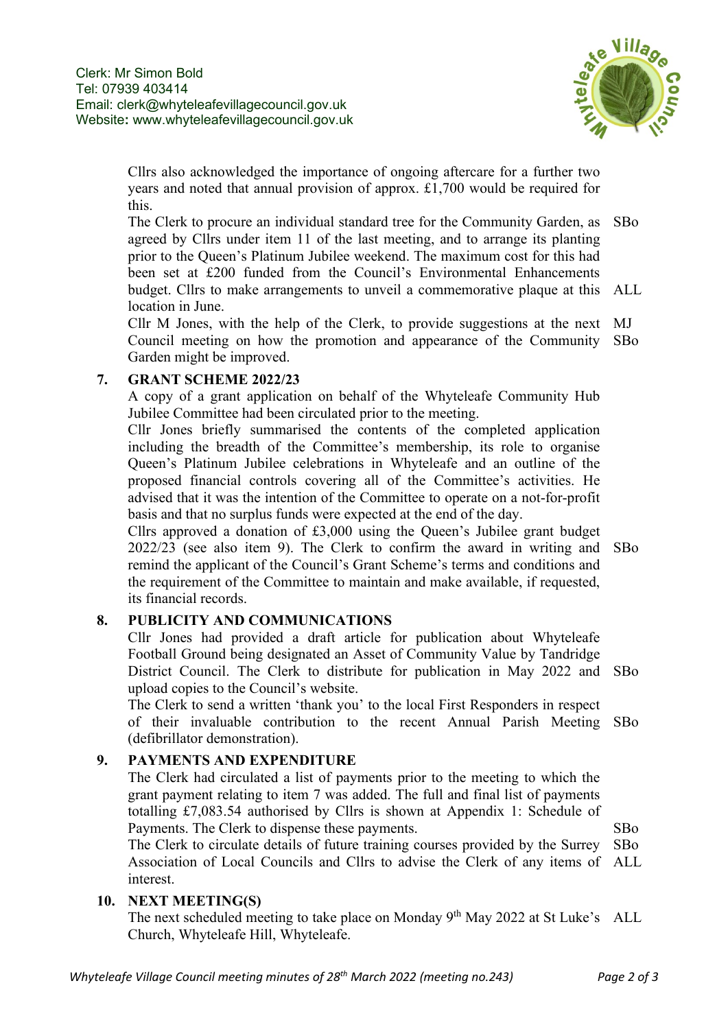

Cllrs also acknowledged the importance of ongoing aftercare for a further two years and noted that annual provision of approx. £1,700 would be required for this.

The Clerk to procure an individual standard tree for the Community Garden, as SBo agreed by Cllrs under item 11 of the last meeting, and to arrange its planting prior to the Queen's Platinum Jubilee weekend. The maximum cost for this had been set at £200 funded from the Council's Environmental Enhancements budget. Cllrs to make arrangements to unveil a commemorative plaque at this ALL location in June.

Cllr M Jones, with the help of the Clerk, to provide suggestions at the next MJ Council meeting on how the promotion and appearance of the Community SBo Garden might be improved.

## **7. GRANT SCHEME 2022/23**

A copy of a grant application on behalf of the Whyteleafe Community Hub Jubilee Committee had been circulated prior to the meeting.

Cllr Jones briefly summarised the contents of the completed application including the breadth of the Committee's membership, its role to organise Queen's Platinum Jubilee celebrations in Whyteleafe and an outline of the proposed financial controls covering all of the Committee's activities. He advised that it was the intention of the Committee to operate on a not-for-profit basis and that no surplus funds were expected at the end of the day.

Cllrs approved a donation of £3,000 using the Queen's Jubilee grant budget 2022/23 (see also item 9). The Clerk to confirm the award in writing and SBo remind the applicant of the Council's Grant Scheme's terms and conditions and the requirement of the Committee to maintain and make available, if requested, its financial records.

## **8. PUBLICITY AND COMMUNICATIONS**

Cllr Jones had provided a draft article for publication about Whyteleafe Football Ground being designated an Asset of Community Value by Tandridge District Council. The Clerk to distribute for publication in May 2022 and SBo upload copies to the Council's website.

The Clerk to send a written 'thank you' to the local First Responders in respect of their invaluable contribution to the recent Annual Parish Meeting SBo (defibrillator demonstration).

## **9. PAYMENTS AND EXPENDITURE**

The Clerk had circulated a list of payments prior to the meeting to which the grant payment relating to item 7 was added. The full and final list of payments totalling £7,083.54 authorised by Cllrs is shown at Appendix 1: Schedule of Payments. The Clerk to dispense these payments.

The Clerk to circulate details of future training courses provided by the Surrey Association of Local Councils and Cllrs to advise the Clerk of any items of ALL interest. SBo

#### **10. NEXT MEETING(S)**

The next scheduled meeting to take place on Monday 9<sup>th</sup> May 2022 at St Luke's ALL Church, Whyteleafe Hill, Whyteleafe.

SBo